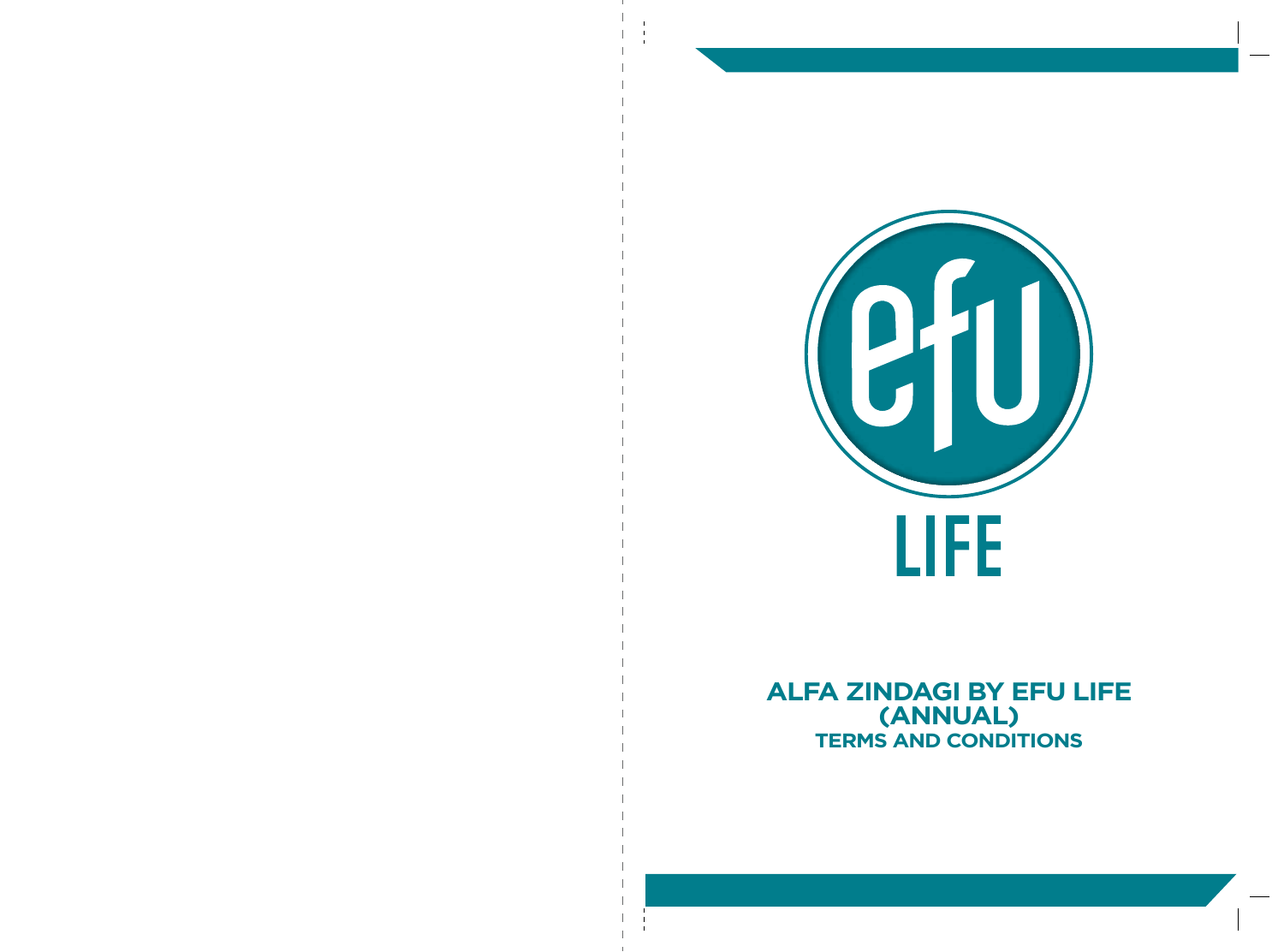

**ALFA ZINDAGI BY EFU LIFE (ANNUAL) TERMS AND CONDITIONS**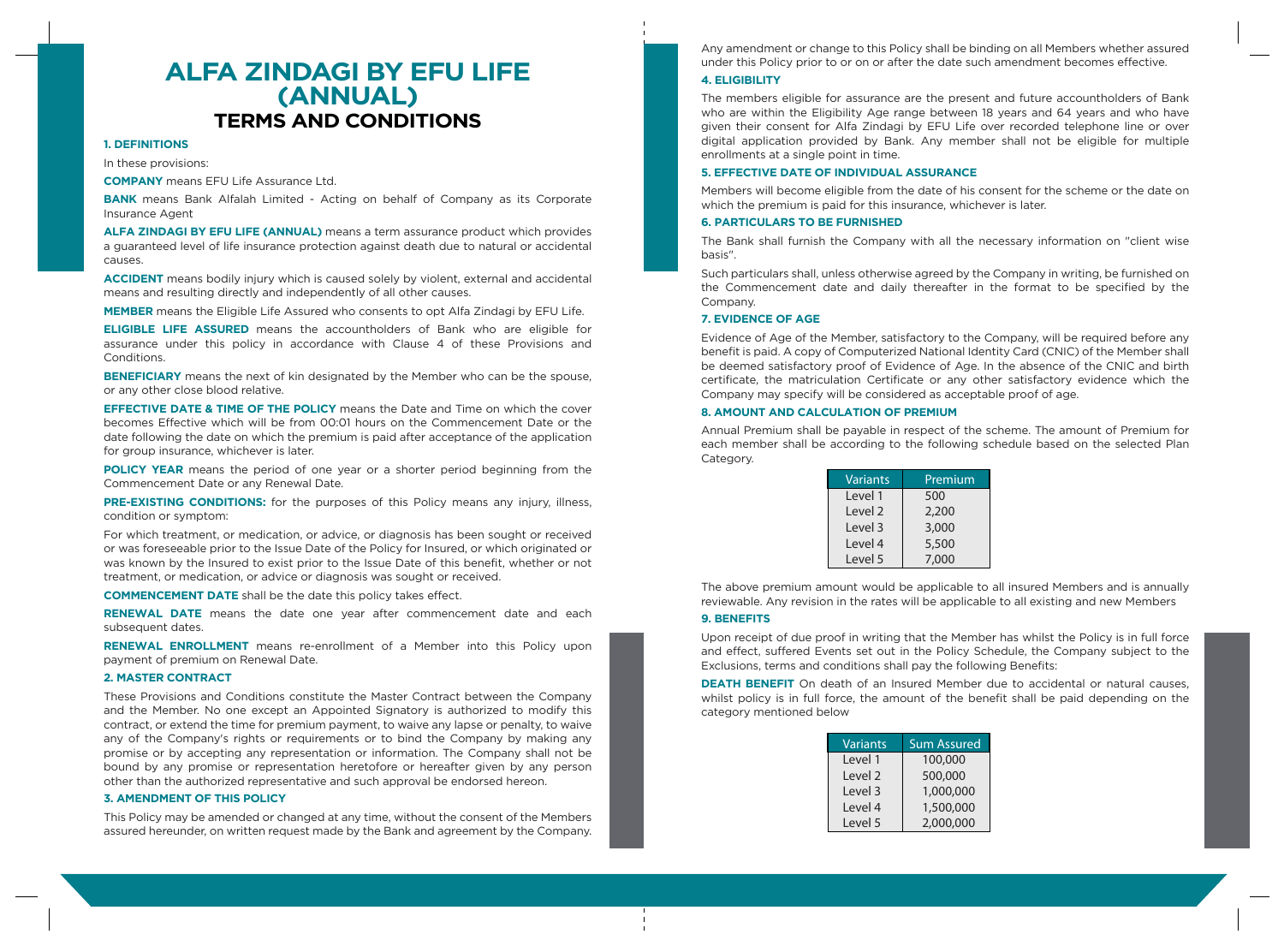# **ALFA ZINDAGI BY EFU LIFE (ANNUAL) TERMS AND CONDITIONS**

# **1. DEFINITIONS**

In these provisions:

**COMPANY** means EFU Life Assurance Ltd.

**BANK** means Bank Alfalah Limited - Acting on behalf of Company as its Corporate Insurance Agent

**ALFA ZINDAGI BY EFU LIFE (ANNUAL)** means a term assurance product which provides a guaranteed level of life insurance protection against death due to natural or accidental causes.

**ACCIDENT** means bodily injury which is caused solely by violent, external and accidental means and resulting directly and independently of all other causes.

**MEMBER** means the Eligible Life Assured who consents to opt Alfa Zindagi by EFU Life.

**ELIGIBLE LIFE ASSURED** means the accountholders of Bank who are eligible for assurance under this policy in accordance with Clause 4 of these Provisions and Conditions.

**BENEFICIARY** means the next of kin designated by the Member who can be the spouse, or any other close blood relative.

**EFFECTIVE DATE & TIME OF THE POLICY** means the Date and Time on which the cover becomes Effective which will be from 00:01 hours on the Commencement Date or the date following the date on which the premium is paid after acceptance of the application for group insurance, whichever is later.

**POLICY YEAR** means the period of one year or a shorter period beginning from the Commencement Date or any Renewal Date.

**PRE-EXISTING CONDITIONS:** for the purposes of this Policy means any injury, illness, condition or symptom:

For which treatment, or medication, or advice, or diagnosis has been sought or received or was foreseeable prior to the Issue Date of the Policy for Insured, or which originated or was known by the Insured to exist prior to the Issue Date of this benefit, whether or not treatment, or medication, or advice or diagnosis was sought or received.

**COMMENCEMENT DATE** shall be the date this policy takes effect.

**RENEWAL DATE** means the date one year after commencement date and each subsequent dates.

**RENEWAL ENROLLMENT** means re-enrollment of a Member into this Policy upon payment of premium on Renewal Date.

# **2. MASTER CONTRACT**

These Provisions and Conditions constitute the Master Contract between the Company and the Member. No one except an Appointed Signatory is authorized to modify this contract, or extend the time for premium payment, to waive any lapse or penalty, to waive any of the Company's rights or requirements or to bind the Company by making any promise or by accepting any representation or information. The Company shall not be bound by any promise or representation heretofore or hereafter given by any person other than the authorized representative and such approval be endorsed hereon.

# **3. AMENDMENT OF THIS POLICY**

This Policy may be amended or changed at any time, without the consent of the Members assured hereunder, on written request made by the Bank and agreement by the Company.

Any amendment or change to this Policy shall be binding on all Members whether assured under this Policy prior to or on or after the date such amendment becomes effective.

## **4. ELIGIBILITY**

The members eligible for assurance are the present and future accountholders of Bank who are within the Eligibility Age range between 18 years and 64 years and who have given their consent for Alfa Zindagi by EFU Life over recorded telephone line or over digital application provided by Bank. Any member shall not be eligible for multiple enrollments at a single point in time.

# **5. EFFECTIVE DATE OF INDIVIDUAL ASSURANCE**

Members will become eligible from the date of his consent for the scheme or the date on which the premium is paid for this insurance, whichever is later.

### **6. PARTICULARS TO BE FURNISHED**

The Bank shall furnish the Company with all the necessary information on "client wise basis".

Such particulars shall, unless otherwise agreed by the Company in writing, be furnished on the Commencement date and daily thereafter in the format to be specified by the Company.

# **7. EVIDENCE OF AGE**

Evidence of Age of the Member, satisfactory to the Company, will be required before any benefit is paid. A copy of Computerized National Identity Card (CNIC) of the Member shall be deemed satisfactory proof of Evidence of Age. In the absence of the CNIC and birth certificate, the matriculation Certificate or any other satisfactory evidence which the Company may specify will be considered as acceptable proof of age.

#### **8. AMOUNT AND CALCULATION OF PREMIUM**

Annual Premium shall be payable in respect of the scheme. The amount of Premium for each member shall be according to the following schedule based on the selected Plan Category.

| <b>Variants</b>    | Premium |
|--------------------|---------|
| Level 1            | 500     |
| Level <sub>2</sub> | 2,200   |
| Level 3            | 3,000   |
| Level 4            | 5,500   |
| Level 5            | 7,000   |

The above premium amount would be applicable to all insured Members and is annually reviewable. Any revision in the rates will be applicable to all existing and new Members

# **9. BENEFITS**

Upon receipt of due proof in writing that the Member has whilst the Policy is in full force and effect, suffered Events set out in the Policy Schedule, the Company subject to the Exclusions, terms and conditions shall pay the following Benefits:

**DEATH BENEFIT** On death of an Insured Member due to accidental or natural causes, whilst policy is in full force, the amount of the benefit shall be paid depending on the category mentioned below

| <b>Variants</b>    | <b>Sum Assured</b> |
|--------------------|--------------------|
| Level 1            | 100,000            |
| Level <sub>2</sub> | 500,000            |
| Level 3            | 1,000,000          |
| Level 4            | 1,500,000          |
| Level 5            | 2,000,000          |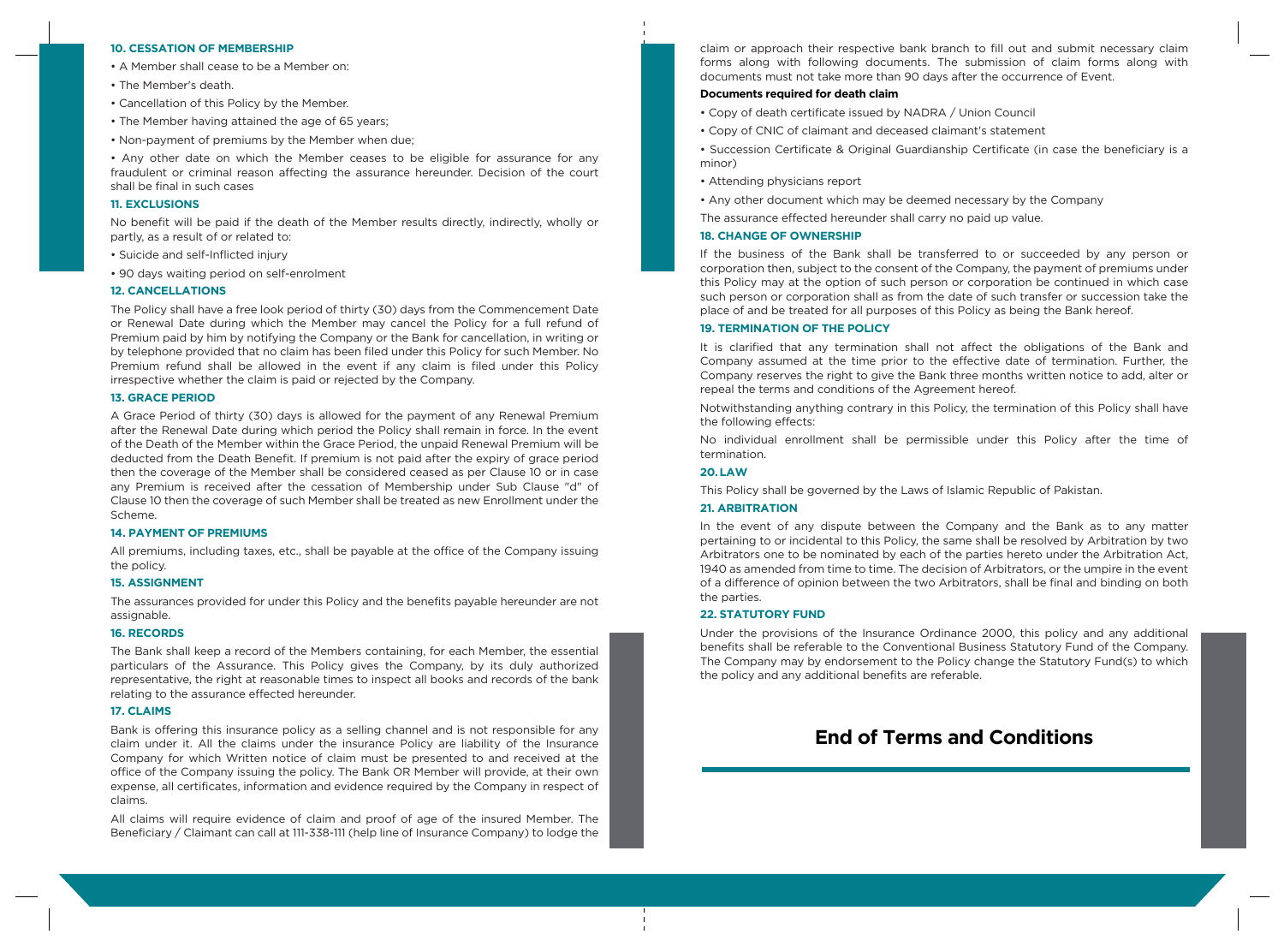#### **10. CESSATION OF MEMBERSHIP**

- A Member shall cease to be a Member on:
- The Member's death.
- Cancellation of this Policy by the Member.
- The Member having attained the age of 65 years;
- Non-payment of premiums by the Member when due;

• Any other date on which the Member ceases to be eligible for assurance for any fraudulent or criminal reason affecting the assurance hereunder. Decision of the court shall be final in such cases

## **11. EXCLUSIONS**

No benefit will be paid if the death of the Member results directly, indirectly, wholly or partly, as a result of or related to:

- Suicide and self-Inflicted injury
- 90 days waiting period on self-enrolment

## **12. CANCELLATIONS**

The Policy shall have a free look period of thirty (30) days from the Commencement Date or Renewal Date during which the Member may cancel the Policy for a full refund of Premium paid by him by notifying the Company or the Bank for cancellation, in writing or by telephone provided that no claim has been filed under this Policy for such Member. No Premium refund shall be allowed in the event if any claim is filed under this Policy irrespective whether the claim is paid or rejected by the Company.

# **13. GRACE PERIOD**

A Grace Period of thirty (30) days is allowed for the payment of any Renewal Premium after the Renewal Date during which period the Policy shall remain in force. In the event of the Death of the Member within the Grace Period, the unpaid Renewal Premium will be deducted from the Death Benefit. If premium is not paid after the expiry of grace period then the coverage of the Member shall be considered ceased as per Clause 10 or in case any Premium is received after the cessation of Membership under Sub Clause "d" of Clause 10 then the coverage of such Member shall be treated as new Enrollment under the Scheme.

#### **14. PAYMENT OF PREMIUMS**

All premiums, including taxes, etc., shall be payable at the office of the Company issuing the policy.

## **15. ASSIGNMENT**

The assurances provided for under this Policy and the benefits payable hereunder are not assignable.

## **16. RECORDS**

The Bank shall keep a record of the Members containing, for each Member, the essential particulars of the Assurance. This Policy gives the Company, by its duly authorized representative, the right at reasonable times to inspect all books and records of the bank relating to the assurance effected hereunder.

# **17. CLAIMS**

Bank is offering this insurance policy as a selling channel and is not responsible for any claim under it. All the claims under the insurance Policy are liability of the Insurance Company for which Written notice of claim must be presented to and received at the office of the Company issuing the policy. The Bank OR Member will provide, at their own expense, all certificates, information and evidence required by the Company in respect of claims.

All claims will require evidence of claim and proof of age of the insured Member. The Beneficiary / Claimant can call at 111-338-111 (help line of Insurance Company) to lodge the claim or approach their respective bank branch to fill out and submit necessary claim forms along with following documents. The submission of claim forms along with documents must not take more than 90 days after the occurrence of Event.

# **Documents required for death claim**

- Copy of death certificate issued by NADRA / Union Council
- Copy of CNIC of claimant and deceased claimant's statement
- Succession Certificate & Original Guardianship Certificate (in case the beneficiary is a minor)
- Attending physicians report
- Any other document which may be deemed necessary by the Company
- The assurance effected hereunder shall carry no paid up value.

### **18. CHANGE OF OWNERSHIP**

If the business of the Bank shall be transferred to or succeeded by any person or corporation then, subject to the consent of the Company, the payment of premiums under this Policy may at the option of such person or corporation be continued in which case such person or corporation shall as from the date of such transfer or succession take the place of and be treated for all purposes of this Policy as being the Bank hereof.

## **19. TERMINATION OF THE POLICY**

It is clarified that any termination shall not affect the obligations of the Bank and Company assumed at the time prior to the effective date of termination. Further, the Company reserves the right to give the Bank three months written notice to add, alter or repeal the terms and conditions of the Agreement hereof.

Notwithstanding anything contrary in this Policy, the termination of this Policy shall have the following effects:

No individual enrollment shall be permissible under this Policy after the time of termination.

# **20. LAW**

This Policy shall be governed by the Laws of Islamic Republic of Pakistan.

## **21. ARBITRATION**

In the event of any dispute between the Company and the Bank as to any matter pertaining to or incidental to this Policy, the same shall be resolved by Arbitration by two Arbitrators one to be nominated by each of the parties hereto under the Arbitration Act, 1940 as amended from time to time. The decision of Arbitrators, or the umpire in the event of a difference of opinion between the two Arbitrators, shall be final and binding on both the parties.

## **22. STATUTORY FUND**

Under the provisions of the Insurance Ordinance 2000, this policy and any additional benefits shall be referable to the Conventional Business Statutory Fund of the Company. The Company may by endorsement to the Policy change the Statutory Fund(s) to which the policy and any additional benefits are referable.

# **End of Terms and Conditions**